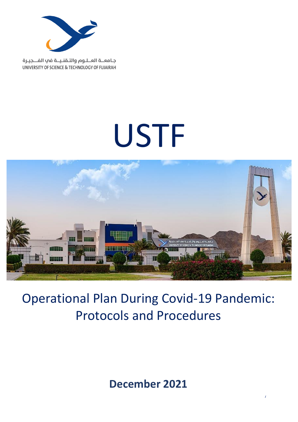

جامعــة العــلـوم والتـقنـيــة في الفـــجيـرة UNIVERSITY OF SCIENCE & TECHNOLOGY OF FUJAIRAH

# USTF



## Operational Plan During Covid-19 Pandemic: Protocols and Procedures

**December 2021**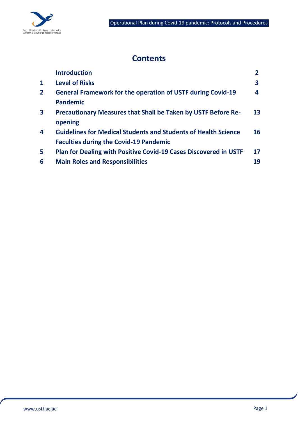

## **Contents**

|              | <b>Introduction</b>                                                   |    |
|--------------|-----------------------------------------------------------------------|----|
| $\mathbf{1}$ | <b>Level of Risks</b>                                                 | 3  |
| $\mathbf{2}$ | <b>General Framework for the operation of USTF during Covid-19</b>    | 4  |
|              | <b>Pandemic</b>                                                       |    |
| 3            | <b>Precautionary Measures that Shall be Taken by USTF Before Re-</b>  | 13 |
|              | opening                                                               |    |
| 4            | <b>Guidelines for Medical Students and Students of Health Science</b> | 16 |
|              | <b>Faculties during the Covid-19 Pandemic</b>                         |    |
| 5            | Plan for Dealing with Positive Covid-19 Cases Discovered in USTF      | 17 |
| 6            | <b>Main Roles and Responsibilities</b>                                | 19 |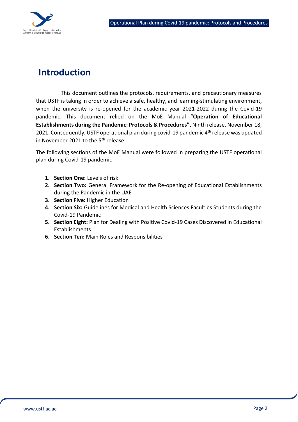

## **Introduction**

This document outlines the protocols, requirements, and precautionary measures that USTF is taking in order to achieve a safe, healthy, and learning-stimulating environment, when the university is re-opened for the academic year 2021-2022 during the Covid-19 pandemic. This document relied on the MoE Manual "**Operation of Educational Establishments during the Pandemic: Protocols & Procedures"**, Ninth release, November 18, 2021. Consequently, USTF operational plan during covid-19 pandemic  $4<sup>th</sup>$  release was updated in November 2021 to the 5<sup>th</sup> release.

The following sections of the MoE Manual were followed in preparing the USTF operational plan during Covid-19 pandemic

- **1. Section One:** Levels of risk
- **2. Section Two:** General Framework for the Re-opening of Educational Establishments during the Pandemic in the UAE
- **3. Section Five:** Higher Education
- **4. Section Six:** Guidelines for Medical and Health Sciences Faculties Students during the Covid-19 Pandemic
- **5. Section Eight:** Plan for Dealing with Positive Covid-19 Cases Discovered in Educational Establishments
- **6. Section Ten:** Main Roles and Responsibilities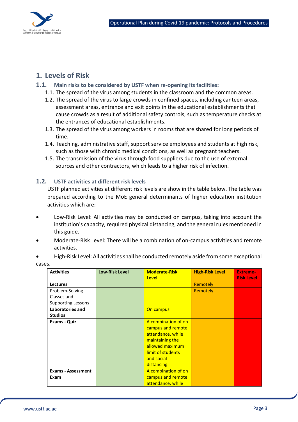

## **1. Levels of Risk**

- **1.1. Main risks to be considered by USTF when re-opening its facilities:**
	- 1.1. The spread of the virus among students in the classroom and the common areas.
	- 1.2. The spread of the virus to large crowds in confined spaces, including canteen areas, assessment areas, entrance and exit points in the educational establishments that cause crowds as a result of additional safety controls, such as temperature checks at the entrances of educational establishments.
	- 1.3. The spread of the virus among workers in rooms that are shared for long periods of time.
	- 1.4. Teaching, administrative staff, support service employees and students at high risk, such as those with chronic medical conditions, as well as pregnant teachers.
	- 1.5. The transmission of the virus through food suppliers due to the use of external sources and other contractors, which leads to a higher risk of infection.

#### **1.2. USTF activities at different risk levels**

USTF planned activities at different risk levels are show in the table below. The table was prepared according to the MoE general determinants of higher education institution activities which are:

- Low-Risk Level: All activities may be conducted on campus, taking into account the institution's capacity, required physical distancing, and the general rules mentioned in this guide.
- Moderate-Risk Level: There will be a combination of on-campus activities and remote activities.
- High-Risk Level: All activities shall be conducted remotely aside from some exceptional cases.

| <b>Activities</b>                 | <b>Low-Risk Level</b> | <b>Moderate-Risk</b>                                                                                                                                 | <b>High-Risk Level</b> | <b>Extreme-</b>   |
|-----------------------------------|-----------------------|------------------------------------------------------------------------------------------------------------------------------------------------------|------------------------|-------------------|
|                                   |                       | <b>Level</b>                                                                                                                                         |                        | <b>Risk Level</b> |
| <b>Lectures</b>                   |                       |                                                                                                                                                      | Remotely               |                   |
| Problem-Solving                   |                       |                                                                                                                                                      | Remotely               |                   |
| Classes and                       |                       |                                                                                                                                                      |                        |                   |
| <b>Supporting Lessons</b>         |                       |                                                                                                                                                      |                        |                   |
| Laboratories and                  |                       | On campus                                                                                                                                            |                        |                   |
| <b>Studios</b>                    |                       |                                                                                                                                                      |                        |                   |
| <b>Exams - Quiz</b>               |                       | A combination of on<br>campus and remote<br>attendance, while<br>maintaining the<br>allowed maximum<br>limit of students<br>and social<br>distancing |                        |                   |
| <b>Exams - Assessment</b><br>Exam |                       | A combination of on<br>campus and remote<br>attendance, while                                                                                        |                        |                   |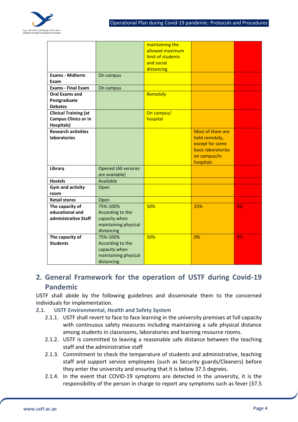

|                                                   |                             | maintaining the   |                                   |    |
|---------------------------------------------------|-----------------------------|-------------------|-----------------------------------|----|
|                                                   |                             | allowed maximum   |                                   |    |
|                                                   |                             | limit of students |                                   |    |
|                                                   |                             | and social        |                                   |    |
|                                                   |                             | distancing        |                                   |    |
| <b>Exams - Midterm</b>                            | On campus                   |                   |                                   |    |
| Exam                                              |                             |                   |                                   |    |
| <b>Exams - Final Exam</b>                         | On campus                   |                   |                                   |    |
| <b>Oral Exams and</b>                             |                             | Remotely          |                                   |    |
| Postgraduate                                      |                             |                   |                                   |    |
| <b>Debates</b>                                    |                             |                   |                                   |    |
| <b>Clinical Training (at</b>                      |                             | On campus/        |                                   |    |
| <b>Campus Clinics or in</b>                       |                             | hospital          |                                   |    |
| <b>Hospitals</b> )                                |                             |                   |                                   |    |
| <b>Research activities</b><br><b>laboratories</b> |                             |                   | Most of them are                  |    |
|                                                   |                             |                   | held remotely,<br>except for some |    |
|                                                   |                             |                   | basic laboratories                |    |
|                                                   |                             |                   | on campus/in                      |    |
|                                                   |                             |                   | hospitals                         |    |
| Library                                           | <b>Opened (All services</b> |                   |                                   |    |
|                                                   | are available)              |                   |                                   |    |
| <b>Hostels</b>                                    | Available                   |                   |                                   |    |
| <b>Gym and activity</b>                           | Open                        |                   |                                   |    |
| room                                              |                             |                   |                                   |    |
| <b>Retail stores</b>                              | Open                        |                   |                                   |    |
| The capacity of                                   | 75%-100%                    | 50%               | 25%                               | 0% |
| educational and                                   | According to the            |                   |                                   |    |
| administrative Staff                              | capacity when               |                   |                                   |    |
|                                                   | maintaining physical        |                   |                                   |    |
|                                                   | distancing                  |                   |                                   |    |
| The capacity of                                   | 75%-100%                    | 50%               | 0%                                | 0% |
| <b>Students</b>                                   | According to the            |                   |                                   |    |
|                                                   | capacity when               |                   |                                   |    |
|                                                   | maintaining physical        |                   |                                   |    |
|                                                   | distancing                  |                   |                                   |    |

## **2. General Framework for the operation of USTF during Covid-19 Pandemic**

USTF shall abide by the following guidelines and disseminate them to the concerned individuals for implementation.

#### **2.1. USTF Environmental, Health and Safety System**

- 2.1.1. USTF shall revert to face to face learning in the university premises at full capacity with continuous safety measures including maintaining a safe physical distance among students in classrooms, laboratories and learning resource rooms.
- 2.1.2. USTF is committed to leaving a reasonable safe distance between the teaching staff and the administrative staff
- 2.1.3. Commitment to check the temperature of students and administrative, teaching staff and support service employees (such as Security guards/Cleaners) before they enter the university and ensuring that it is below 37.5 degrees.
- 2.1.4. In the event that COVID-19 symptoms are detected in the university, it is the responsibility of the person in charge to report any symptoms such as fever (37.5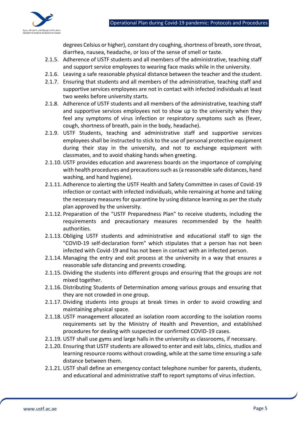

degrees Celsius or higher), constant dry coughing, shortness of breath, sore throat, diarrhea, nausea, headache, or loss of the sense of smell or taste.

- 2.1.5. Adherence of USTF students and all members of the administrative, teaching staff and support service employees to wearing face masks while in the university.
- 2.1.6. Leaving a safe reasonable physical distance between the teacher and the student.
- 2.1.7. Ensuring that students and all members of the administrative, teaching staff and supportive services employees are not in contact with infected individuals at least two weeks before university starts.
- 2.1.8. Adherence of USTF students and all members of the administrative, teaching staff and supportive services employees not to show up to the university when they feel any symptoms of virus infection or respiratory symptoms such as (fever, cough, shortness of breath, pain in the body, headache).
- 2.1.9. USTF Students, teaching and administrative staff and supportive services employees shall be instructed to stick to the use of personal protective equipment during their stay in the university, and not to exchange equipment with classmates, and to avoid shaking hands when greeting.
- 2.1.10. USTF provides education and awareness boards on the importance of complying with health procedures and precautions such as (a reasonable safe distances, hand washing, and hand hygiene).
- 2.1.11. Adherence to alerting the USTF Health and Safety Committee in cases of Covid-19 infection or contact with infected individuals, while remaining at home and taking the necessary measures for quarantine by using distance learning as per the study plan approved by the university.
- 2.1.12. Preparation of the "USTF Preparedness Plan" to receive students, including the requirements and precautionary measures recommended by the health authorities.
- 2.1.13. Obliging USTF students and administrative and educational staff to sign the "COVID-19 self-declaration form" which stipulates that a person has not been infected with Covid-19 and has not been in contact with an infected person.
- 2.1.14. Managing the entry and exit process at the university in a way that ensures a reasonable safe distancing and prevents crowding.
- 2.1.15. Dividing the students into different groups and ensuring that the groups are not mixed together.
- 2.1.16. Distributing Students of Determination among various groups and ensuring that they are not crowded in one group.
- 2.1.17. Dividing students into groups at break times in order to avoid crowding and maintaining physical space.
- 2.1.18. USTF management allocated an isolation room according to the isolation rooms requirements set by the Ministry of Health and Prevention, and established procedures for dealing with suspected or confirmed COVID-19 cases.
- 2.1.19. USTF shall use gyms and large halls in the university as classrooms, if necessary.
- 2.1.20. Ensuring that USTF students are allowed to enter and exit labs, clinics, studios and learning resource rooms without crowding, while at the same time ensuring a safe distance between them.
- 2.1.21. USTF shall define an emergency contact telephone number for parents, students, and educational and administrative staff to report symptoms of virus infection.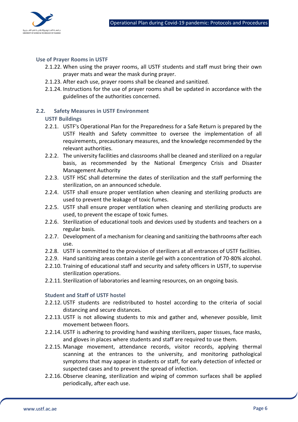

#### **Use of Prayer Rooms in USTF**

- 2.1.22. When using the prayer rooms, all USTF students and staff must bring their own prayer mats and wear the mask during prayer.
- 2.1.23. After each use, prayer rooms shall be cleaned and sanitized.
- 2.1.24. Instructions for the use of prayer rooms shall be updated in accordance with the guidelines of the authorities concerned.

#### **2.2. Safety Measures in USTF Environment**

#### **USTF Buildings**

- 2.2.1. USTF's Operational Plan for the Preparedness for a Safe Return is prepared by the USTF Health and Safety committee to oversee the implementation of all requirements, precautionary measures, and the knowledge recommended by the relevant authorities.
- 2.2.2. The university facilities and classrooms shall be cleaned and sterilized on a regular basis, as recommended by the National Emergency Crisis and Disaster Management Authority
- 2.2.3. USTF HSC shall determine the dates of sterilization and the staff performing the sterilization, on an announced schedule.
- 2.2.4. USTF shall ensure proper ventilation when cleaning and sterilizing products are used to prevent the leakage of toxic fumes.
- 2.2.5. USTF shall ensure proper ventilation when cleaning and sterilizing products are used, to prevent the escape of toxic fumes.
- 2.2.6. Sterilization of educational tools and devices used by students and teachers on a regular basis.
- 2.2.7. Development of a mechanism for cleaning and sanitizing the bathrooms after each use.
- 2.2.8. USTF is committed to the provision of sterilizers at all entrances of USTF facilities.
- 2.2.9. Hand sanitizing areas contain a sterile gel with a concentration of 70-80% alcohol.
- 2.2.10. Training of educational staff and security and safety officers in USTF, to supervise sterilization operations.
- 2.2.11. Sterilization of laboratories and learning resources, on an ongoing basis.

#### **Student and Staff of USTF hostel**

- 2.2.12. USTF students are redistributed to hostel according to the criteria of social distancing and secure distances.
- 2.2.13. USTF is not allowing students to mix and gather and, whenever possible, limit movement between floors.
- 2.2.14. USTF is adhering to providing hand washing sterilizers, paper tissues, face masks, and gloves in places where students and staff are required to use them.
- 2.2.15. Manage movement, attendance records, visitor records, applying thermal scanning at the entrances to the university, and monitoring pathological symptoms that may appear in students or staff, for early detection of infected or suspected cases and to prevent the spread of infection.
- 2.2.16. Observe cleaning, sterilization and wiping of common surfaces shall be applied periodically, after each use.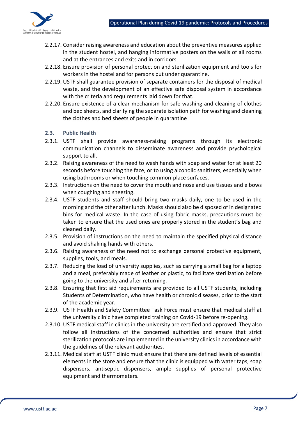

- 2.2.17. Consider raising awareness and education about the preventive measures applied in the student hostel, and hanging informative posters on the walls of all rooms and at the entrances and exits and in corridors.
- 2.2.18. Ensure provision of personal protection and sterilization equipment and tools for workers in the hostel and for persons put under quarantine.
- 2.2.19. USTF shall guarantee provision of separate containers for the disposal of medical waste, and the development of an effective safe disposal system in accordance with the criteria and requirements laid down for that.
- 2.2.20. Ensure existence of a clear mechanism for safe washing and cleaning of clothes and bed sheets, and clarifying the separate isolation path for washing and cleaning the clothes and bed sheets of people in quarantine

#### **2.3. Public Health**

- 2.3.1. USTF shall provide awareness-raising programs through its electronic communication channels to disseminate awareness and provide psychological support to all.
- 2.3.2. Raising awareness of the need to wash hands with soap and water for at least 20 seconds before touching the face, or to using alcoholic sanitizers, especially when using bathrooms or when touching common-place surfaces.
- 2.3.3. Instructions on the need to cover the mouth and nose and use tissues and elbows when coughing and sneezing.
- 2.3.4. USTF students and staff should bring two masks daily, one to be used in the morning and the other after lunch. Masks should also be disposed of in designated bins for medical waste. In the case of using fabric masks, precautions must be taken to ensure that the used ones are properly stored in the student's bag and cleaned daily.
- 2.3.5. Provision of instructions on the need to maintain the specified physical distance and avoid shaking hands with others.
- 2.3.6. Raising awareness of the need not to exchange personal protective equipment, supplies, tools, and meals.
- 2.3.7. Reducing the load of university supplies, such as carrying a small bag for a laptop and a meal, preferably made of leather or plastic, to facilitate sterilization before going to the university and after returning.
- 2.3.8. Ensuring that first aid requirements are provided to all USTF students, including Students of Determination, who have health or chronic diseases, prior to the start of the academic year.
- 2.3.9. USTF Health and Safety Committee Task Force must ensure that medical staff at the university clinic have completed training on Covid-19 before re-opening.
- 2.3.10. USTF medical staff in clinics in the university are certified and approved. They also follow all instructions of the concerned authorities and ensure that strict sterilization protocols are implemented in the university clinics in accordance with the guidelines of the relevant authorities.
- 2.3.11. Medical staff at USTF clinic must ensure that there are defined levels of essential elements in the store and ensure that the clinic is equipped with water taps, soap dispensers, antiseptic dispensers, ample supplies of personal protective equipment and thermometers.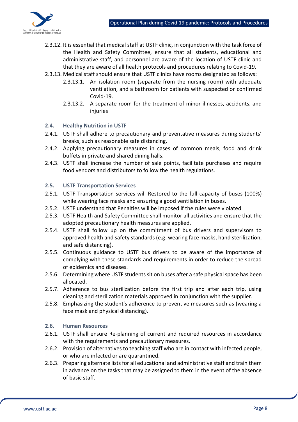

- 2.3.12. It is essential that medical staff at USTF clinic, in conjunction with the task force of the Health and Safety Committee, ensure that all students, educational and administrative staff, and personnel are aware of the location of USTF clinic and that they are aware of all health protocols and procedures relating to Covid-19.
- 2.3.13. Medical staff should ensure that USTF clinics have rooms designated as follows:
	- 2.3.13.1. An isolation room (separate from the nursing room) with adequate ventilation, and a bathroom for patients with suspected or confirmed Covid-19.
	- 2.3.13.2. A separate room for the treatment of minor illnesses, accidents, and injuries

#### **2.4. Healthy Nutrition in USTF**

- 2.4.1. USTF shall adhere to precautionary and preventative measures during students' breaks, such as reasonable safe distancing.
- 2.4.2. Applying precautionary measures in cases of common meals, food and drink buffets in private and shared dining halls.
- 2.4.3. USTF shall increase the number of sale points, facilitate purchases and require food vendors and distributors to follow the health regulations.

#### **2.5. USTF Transportation Services**

- 2.5.1. USTF Transportation services will Restored to the full capacity of buses (100%) while wearing face masks and ensuring a good ventilation in buses.
- 2.5.2. USTF understand that Penalties will be imposed if the rules were violated
- 2.5.3. USTF Health and Safety Committee shall monitor all activities and ensure that the adopted precautionary health measures are applied.
- 2.5.4. USTF shall follow up on the commitment of bus drivers and supervisors to approved health and safety standards (e.g. wearing face masks, hand sterilization, and safe distancing).
- 2.5.5. Continuous guidance to USTF bus drivers to be aware of the importance of complying with these standards and requirements in order to reduce the spread of epidemics and diseases.
- 2.5.6. Determining where USTF students sit on buses after a safe physical space has been allocated.
- 2.5.7. Adherence to bus sterilization before the first trip and after each trip, using cleaning and sterilization materials approved in conjunction with the supplier.
- 2.5.8. Emphasizing the student's adherence to preventive measures such as (wearing a face mask and physical distancing).

#### **2.6. Human Resources**

- 2.6.1. USTF shall ensure Re-planning of current and required resources in accordance with the requirements and precautionary measures.
- 2.6.2. Provision of alternatives to teaching staff who are in contact with infected people, or who are infected or are quarantined.
- 2.6.3. Preparing alternate lists for all educational and administrative staff and train them in advance on the tasks that may be assigned to them in the event of the absence of basic staff.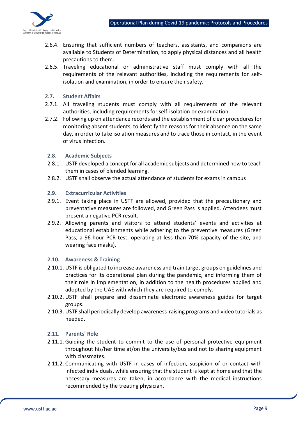

- 2.6.4. Ensuring that sufficient numbers of teachers, assistants, and companions are available to Students of Determination, to apply physical distances and all health precautions to them.
- 2.6.5. Traveling educational or administrative staff must comply with all the requirements of the relevant authorities, including the requirements for selfisolation and examination, in order to ensure their safety.
- **2.7. Student Affairs**
- 2.7.1. All traveling students must comply with all requirements of the relevant authorities, including requirements for self-isolation or examination.
- 2.7.2. Following up on attendance records and the establishment of clear procedures for monitoring absent students, to identify the reasons for their absence on the same day, in order to take isolation measures and to trace those in contact, in the event of virus infection.

#### **2.8. Academic Subjects**

- 2.8.1. USTF developed a concept for all academic subjects and determined how to teach them in cases of blended learning.
- 2.8.2. USTF shall observe the actual attendance of students for exams in campus

#### **2.9. Extracurricular Activities**

- 2.9.1. Event taking place in USTF are allowed, provided that the precautionary and preventative measures are followed, and Green Pass is applied. Attendees must present a negative PCR result.
- 2.9.2. Allowing parents and visitors to attend students' events and activities at educational establishments while adhering to the preventive measures (Green Pass, a 96-hour PCR test, operating at less than 70% capacity of the site, and wearing face masks).

#### **2.10. Awareness & Training**

- 2.10.1. USTF is obligated to increase awareness and train target groups on guidelines and practices for its operational plan during the pandemic, and informing them of their role in implementation, in addition to the health procedures applied and adopted by the UAE with which they are required to comply.
- 2.10.2. USTF shall prepare and disseminate electronic awareness guides for target groups.
- 2.10.3. USTF shall periodically develop awareness-raising programs and video tutorials as needed.

#### **2.11. Parents' Role**

- 2.11.1. Guiding the student to commit to the use of personal protective equipment throughout his/her time at/on the university/bus and not to sharing equipment with classmates.
- 2.11.2. Communicating with USTF in cases of infection, suspicion of or contact with infected individuals, while ensuring that the student is kept at home and that the necessary measures are taken, in accordance with the medical instructions recommended by the treating physician.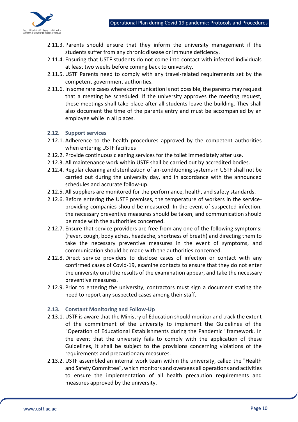

- 2.11.3. Parents should ensure that they inform the university management if the students suffer from any chronic disease or immune deficiency.
- 2.11.4. Ensuring that USTF students do not come into contact with infected individuals at least two weeks before coming back to university.
- 2.11.5. USTF Parents need to comply with any travel-related requirements set by the competent government authorities.
- 2.11.6. In some rare cases where communication is not possible, the parents may request that a meeting be scheduled. If the university approves the meeting request, these meetings shall take place after all students leave the building. They shall also document the time of the parents entry and must be accompanied by an employee while in all places.
- **2.12. Support services**
- 2.12.1. Adherence to the health procedures approved by the competent authorities when entering USTF facilities
- 2.12.2. Provide continuous cleaning services for the toilet immediately after use.
- 2.12.3. All maintenance work within USTF shall be carried out by accredited bodies.
- 2.12.4. Regular cleaning and sterilization of air-conditioning systems in USTF shall not be carried out during the university day, and in accordance with the announced schedules and accurate follow-up.
- 2.12.5. All suppliers are monitored for the performance, health, and safety standards.
- 2.12.6. Before entering the USTF premises, the temperature of workers in the serviceproviding companies should be measured. In the event of suspected infection, the necessary preventive measures should be taken, and communication should be made with the authorities concerned.
- 2.12.7. Ensure that service providers are free from any one of the following symptoms: (Fever, cough, body aches, headache, shortness of breath) and directing them to take the necessary preventive measures in the event of symptoms, and communication should be made with the authorities concerned.
- 2.12.8. Direct service providers to disclose cases of infection or contact with any confirmed cases of Covid-19, examine contacts to ensure that they do not enter the university until the results of the examination appear, and take the necessary preventive measures.
- 2.12.9. Prior to entering the university, contractors must sign a document stating the need to report any suspected cases among their staff.

#### **2.13. Constant Monitoring and Follow-Up**

- 2.13.1. USTF is aware that the Ministry of Education should monitor and track the extent of the commitment of the university to implement the Guidelines of the "Operation of Educational Establishments during the Pandemic" framework. In the event that the university fails to comply with the application of these Guidelines, it shall be subject to the provisions concerning violations of the requirements and precautionary measures.
- 2.13.2. USTF assembled an internal work team within the university, called the "Health and Safety Committee", which monitors and oversees all operations and activities to ensure the implementation of all health precaution requirements and measures approved by the university.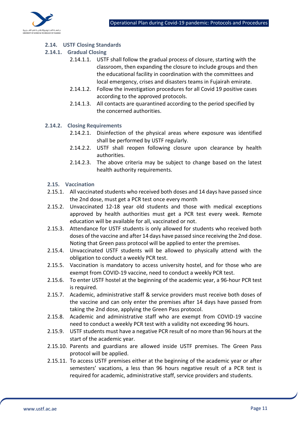

#### **2.14. USTF Closing Standards**

- **2.14.1. Gradual Closing** 
	- 2.14.1.1. USTF shall follow the gradual process of closure, starting with the classroom, then expanding the closure to include groups and then the educational facility in coordination with the committees and local emergency, crises and disasters teams in Fujairah emirate.
	- 2.14.1.2. Follow the investigation procedures for all Covid 19 positive cases according to the approved protocols.
	- 2.14.1.3. All contacts are quarantined according to the period specified by the concerned authorities.
- **2.14.2. Closing Requirements**
	- 2.14.2.1. Disinfection of the physical areas where exposure was identified shall be performed by USTF regularly.
	- 2.14.2.2. USTF shall reopen following closure upon clearance by health authorities.
	- 2.14.2.3. The above criteria may be subject to change based on the latest health authority requirements.
- **2.15. Vaccination**
- 2.15.1. All vaccinated students who received both doses and 14 days have passed since the 2nd dose, must get a PCR test once every month
- 2.15.2. Unvaccinated 12-18 year old students and those with medical exceptions approved by health authorities must get a PCR test every week. Remote education will be available for all, vaccinated or not.
- 2.15.3. Attendance for USTF students is only allowed for students who received both doses of the vaccine and after 14 days have passed since receiving the 2nd dose. Noting that Green pass protocol will be applied to enter the premises.
- 2.15.4. Unvaccinated USTF students will be allowed to physically attend with the obligation to conduct a weekly PCR test.
- 2.15.5. Vaccination is mandatory to access university hostel, and for those who are exempt from COVID-19 vaccine, need to conduct a weekly PCR test.
- 2.15.6. To enter USTF hostel at the beginning of the academic year, a 96-hour PCR test is required.
- 2.15.7. Academic, administrative staff & service providers must receive both doses of the vaccine and can only enter the premises after 14 days have passed from taking the 2nd dose, applying the Green Pass protocol.
- 2.15.8. Academic and administrative staff who are exempt from COVID-19 vaccine need to conduct a weekly PCR test with a validity not exceeding 96 hours.
- 2.15.9. USTF students must have a negative PCR result of no more than 96 hours at the start of the academic year.
- 2.15.10. Parents and guardians are allowed inside USTF premises. The Green Pass protocol will be applied.
- 2.15.11. To access USTF premises either at the beginning of the academic year or after semesters' vacations, a less than 96 hours negative result of a PCR test is required for academic, administrative staff, service providers and students.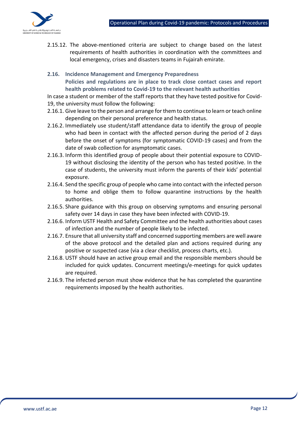

2.15.12. The above-mentioned criteria are subject to change based on the latest requirements of health authorities in coordination with the committees and local emergency, crises and disasters teams in Fujairah emirate.

**2.16. Incidence Management and Emergency Preparedness Policies and regulations are in place to track close contact cases and report health problems related to Covid-19 to the relevant health authorities**

In case a student or member of the staff reports that they have tested positive for Covid-19, the university must follow the following:

- 2.16.1. Give leave to the person and arrange for them to continue to learn or teach online depending on their personal preference and health status.
- 2.16.2. Immediately use student/staff attendance data to identify the group of people who had been in contact with the affected person during the period of 2 days before the onset of symptoms (for symptomatic COVID-19 cases) and from the date of swab collection for asymptomatic cases.
- 2.16.3. Inform this identified group of people about their potential exposure to COVID-19 without disclosing the identity of the person who has tested positive. In the case of students, the university must inform the parents of their kids' potential exposure.
- 2.16.4. Send the specific group of people who came into contact with the infected person to home and oblige them to follow quarantine instructions by the health authorities.
- 2.16.5. Share guidance with this group on observing symptoms and ensuring personal safety over 14 days in case they have been infected with COVID-19.
- 2.16.6. Inform USTF Health and Safety Committee and the health authorities about cases of infection and the number of people likely to be infected.
- 2.16.7. Ensure that all university staff and concerned supporting members are well aware of the above protocol and the detailed plan and actions required during any positive or suspected case (via a clear checklist, process charts, etc.).
- 2.16.8. USTF should have an active group email and the responsible members should be included for quick updates. Concurrent meetings/e-meetings for quick updates are required.
- 2.16.9. The infected person must show evidence that he has completed the quarantine requirements imposed by the health authorities.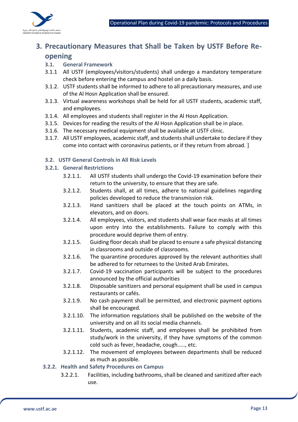

## **3. Precautionary Measures that Shall be Taken by USTF Before Reopening**

- **3.1. General Framework**
- 3.1.1 All USTF (employees/visitors/students) shall undergo a mandatory temperature check before entering the campus and hostel on a daily basis.
- 3.1.2. USTF students shall be informed to adhere to all precautionary measures, and use of the Al Hosn Application shall be ensured.
- 3.1.3. Virtual awareness workshops shall be held for all USTF students, academic staff, and employees.
- 3.1.4. All employees and students shall register in the Al Hosn Application.
- 3.1.5. Devices for reading the results of the Al Hosn Application shall be in place.
- 3.1.6. The necessary medical equipment shall be available at USTF clinic.
- 3.1.7. All USTF employees, academic staff, and students shall undertake to declare if they come into contact with coronavirus patients, or if they return from abroad. ]

#### **3.2. USTF General Controls in All Risk Levels**

#### **3.2.1. General Restrictions**

- 3.2.1.1. All USTF students shall undergo the Covid-19 examination before their return to the university, to ensure that they are safe.
- 3.2.1.2. Students shall, at all times, adhere to national guidelines regarding policies developed to reduce the transmission risk.
- 3.2.1.3. Hand sanitizers shall be placed at the touch points on ATMs, in elevators, and on doors.
- 3.2.1.4. All employees, visitors, and students shall wear face masks at all times upon entry into the establishments. Failure to comply with this procedure would deprive them of entry.
- 3.2.1.5. Guiding floor decals shall be placed to ensure a safe physical distancing in classrooms and outside of classrooms.
- 3.2.1.6. The quarantine procedures approved by the relevant authorities shall be adhered to for returnees to the United Arab Emirates.
- 3.2.1.7. Covid-19 vaccination participants will be subject to the procedures announced by the official authorities
- 3.2.1.8. Disposable sanitizers and personal equipment shall be used in campus restaurants or cafés.
- 3.2.1.9. No cash payment shall be permitted, and electronic payment options shall be encouraged.
- 3.2.1.10. The information regulations shall be published on the website of the university and on all its social media channels.
- 3.2.1.11. Students, academic staff, and employees shall be prohibited from study/work in the university, if they have symptoms of the common cold such as fever, headache, cough....., etc.
- 3.2.1.12. The movement of employees between departments shall be reduced as much as possible.

#### **3.2.2. Health and Safety Procedures on Campus**

3.2.2.1. Facilities, including bathrooms, shall be cleaned and sanitized after each use.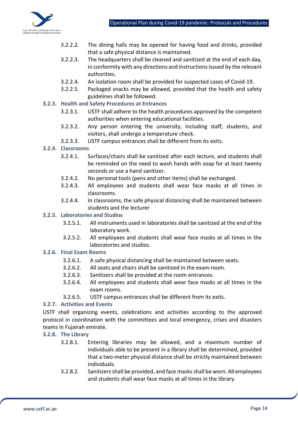

- 3.2.2.2. The dining halls may be opened for having food and drinks, provided that a safe physical distance is maintained.
- 3.2.2.3. The headquarters shall be cleaned and sanitized at the end of each day, in conformity with any directions and instructions issued by the relevant authorities.
- 3.2.2.4. An isolation room shall be provided for suspected cases of Covid-19.
- 3.2.2.5. Packaged snacks may be allowed, provided that the health and safety guidelines shall be followed.

#### **3.2.3. Health and Safety Procedures at Entrances**

- 3.2.3.1. USTF shall adhere to the health procedures approved by the competent authorities when entering educational facilities.
- 3.2.3.2. Any person entering the university, including staff, students, and visitors, shall undergo a temperature check.
- 3.2.3.3. USTF campus entrances shall be different from its exits.

#### **3.2.4. Classrooms**

- 3.2.4.1. Surfaces/chairs shall be sanitized after each lecture, and students shall be reminded on the need to wash hands with soap for at least twenty seconds or use a hand sanitizer.
- 3.2.4.2. No personal tools (pens and other items) shall be exchanged.
- 3.2.4.3. All employees and students shall wear face masks at all times in classrooms.
- 3.2.4.4. In classrooms, the safe physical distancing shall be maintained between students and the lecturer

#### **3.2.5. Laboratories and Studios**

- 3.2.5.1. All instruments used in laboratories shall be sanitized at the end of the laboratory work.
- 3.2.5.2. All employees and students shall wear face masks at all times in the laboratories and studios.

#### **3.2.6. Final Exam Rooms**

- 3.2.6.1. A safe physical distancing shall be maintained between seats.
- 3.2.6.2. All seats and chairs shall be sanitized in the exam room.
- 3.2.6.3. Sanitizers shall be provided at the room entrances.
- 3.2.6.4. All employees and students shall wear face masks at all times in the exam rooms.
- 3.2.6.5. USTF campus entrances shall be different from its exits.

#### **3.2.7. Activities and Events**

USTF shall organizing events, celebrations and activities according to the approved protocol in coordination with the committees and local emergency, crises and disasters teams in Fujairah emirate.

#### **3.2.8. The Library**

- 3.2.8.1. Entering libraries may be allowed, and a maximum number of individuals able to be present in a library shall be determined, provided that a two-meter physical distance shall be strictly maintained between individuals.
- 3.2.8.2. Sanitizers shall be provided, and face masks shall be worn. All employees and students shall wear face masks at all times in the library.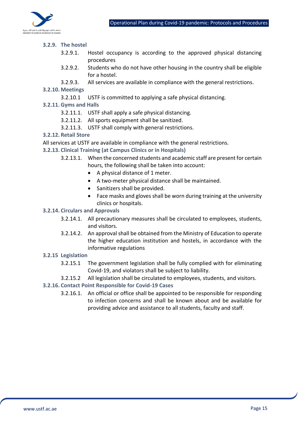

#### **3.2.9. The hostel**

- 3.2.9.1. Hostel occupancy is according to the approved physical distancing procedures
- 3.2.9.2. Students who do not have other housing in the country shall be eligible for a hostel.
- 3.2.9.3. All services are available in compliance with the general restrictions.

#### **3.2.10. Meetings**

- 3.2.10.1 USTF is committed to applying a safe physical distancing.
- **3.2.11. Gyms and Halls**
	- 3.2.11.1. USTF shall apply a safe physical distancing.
	- 3.2.11.2. All sports equipment shall be sanitized.
	- 3.2.11.3. USTF shall comply with general restrictions.

#### **3.2.12. Retail Store**

All services at USTF are available in compliance with the general restrictions.

#### **3.2.13. Clinical Training (at Campus Clinics or in Hospitals)**

- 3.2.13.1. When the concerned students and academic staff are present for certain hours, the following shall be taken into account:
	- A physical distance of 1 meter.
	- A two-meter physical distance shall be maintained.
	- Sanitizers shall be provided.
	- Face masks and gloves shall be worn during training at the university clinics or hospitals.

#### **3.2.14. Circulars and Approvals**

- 3.2.14.1. All precautionary measures shall be circulated to employees, students, and visitors.
- 3.2.14.2. An approval shall be obtained from the Ministry of Education to operate the higher education institution and hostels, in accordance with the informative regulations

#### **3.2.15 Legislation**

- 3.2.15.1 The government legislation shall be fully complied with for eliminating Covid-19, and violators shall be subject to liability.
- 3.2.15.2 All legislation shall be circulated to employees, students, and visitors.

#### **3.2.16. Contact Point Responsible for Covid-19 Cases**

3.2.16.1. An official or office shall be appointed to be responsible for responding to infection concerns and shall be known about and be available for providing advice and assistance to all students, faculty and staff.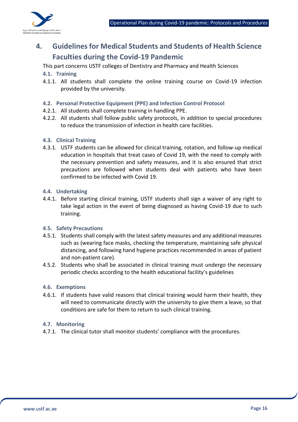

## **4. Guidelines for Medical Students and Students of Health Science Faculties during the Covid-19 Pandemic**

This part concerns USTF colleges of Dentistry and Pharmacy and Health Sciences

#### **4.1. Training**

- 4.1.1. All students shall complete the online training course on Covid-19 infection provided by the university.
- **4.2. Personal Protective Equipment (PPE) and Infection Control Protocol**
- 4.2.1. All students shall complete training in handling PPE.
- 4.2.2. All students shall follow public safety protocols, in addition to special procedures to reduce the transmission of infection in health care facilities.

#### **4.3. Clinical Training**

4.3.1. USTF students can be allowed for clinical training, rotation, and follow-up medical education in hospitals that treat cases of Covid 19, with the need to comply with the necessary prevention and safety measures, and it is also ensured that strict precautions are followed when students deal with patients who have been confirmed to be infected with Covid 19.

#### **4.4. Undertaking**

4.4.1. Before starting clinical training, USTF students shall sign a waiver of any right to take legal action in the event of being diagnosed as having Covid-19 due to such training.

#### **4.5. Safety Precautions**

- 4.5.1. Students shall comply with the latest safety measures and any additional measures such as (wearing face masks, checking the temperature, maintaining safe physical distancing, and following hand hygiene practices recommended in areas of patient and non-patient care).
- 4.5.2. Students who shall be associated in clinical training must undergo the necessary periodic checks according to the health educational facility's guidelines

#### **4.6. Exemptions**

4.6.1. If students have valid reasons that clinical training would harm their health, they will need to communicate directly with the university to give them a leave, so that conditions are safe for them to return to such clinical training.

#### **4.7. Monitoring**

4.7.1. The clinical tutor shall monitor students' compliance with the procedures.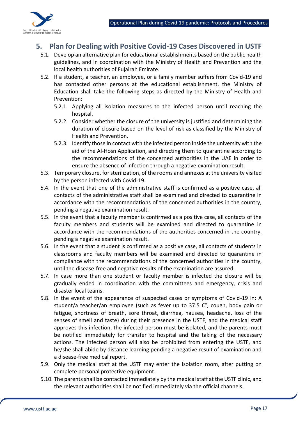

### **5. Plan for Dealing with Positive Covid-19 Cases Discovered in USTF**

- 5.1. Develop an alternative plan for educational establishments based on the public health guidelines, and in coordination with the Ministry of Health and Prevention and the local health authorities of Fujairah Emirate.
- 5.2. If a student, a teacher, an employee, or a family member suffers from Covid-19 and has contacted other persons at the educational establishment, the Ministry of Education shall take the following steps as directed by the Ministry of Health and Prevention:
	- 5.2.1. Applying all isolation measures to the infected person until reaching the hospital.
	- 5.2.2. Consider whether the closure of the university is justified and determining the duration of closure based on the level of risk as classified by the Ministry of Health and Prevention.
	- 5.2.3. Identify those in contact with the infected person inside the university with the aid of the Al-Hosn Application, and directing them to quarantine according to the recommendations of the concerned authorities in the UAE in order to ensure the absence of infection through a negative examination result.
- 5.3. Temporary closure, for sterilization, of the rooms and annexes at the university visited by the person infected with Covid-19.
- 5.4. In the event that one of the administrative staff is confirmed as a positive case, all contacts of the administrative staff shall be examined and directed to quarantine in accordance with the recommendations of the concerned authorities in the country, pending a negative examination result.
- 5.5. In the event that a faculty member is confirmed as a positive case, all contacts of the faculty members and students will be examined and directed to quarantine in accordance with the recommendations of the authorities concerned in the country, pending a negative examination result.
- 5.6. In the event that a student is confirmed as a positive case, all contacts of students in classrooms and faculty members will be examined and directed to quarantine in compliance with the recommendations of the concerned authorities in the country, until the disease-free and negative results of the examination are assured.
- 5.7. In case more than one student or faculty member is infected the closure will be gradually ended in coordination with the committees and emergency, crisis and disaster local teams.
- 5.8. In the event of the appearance of suspected cases or symptoms of Covid-19 in: A student/a teacher/an employee (such as fever up to 37.5 C°, cough, body pain or fatigue, shortness of breath, sore throat, diarrhea, nausea, headache, loss of the senses of smell and taste) during their presence in the USTF, and the medical staff approves this infection, the infected person must be isolated, and the parents must be notified immediately for transfer to hospital and the taking of the necessary actions. The infected person will also be prohibited from entering the USTF, and he/she shall abide by distance learning pending a negative result of examination and a disease-free medical report.
- 5.9. Only the medical staff at the USTF may enter the isolation room, after putting on complete personal protective equipment.
- 5.10. The parents shall be contacted immediately by the medical staff at the USTF clinic, and the relevant authorities shall be notified immediately via the official channels.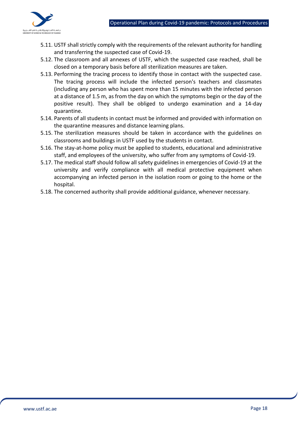

- 5.11. USTF shall strictly comply with the requirements of the relevant authority for handling and transferring the suspected case of Covid-19.
- 5.12. The classroom and all annexes of USTF, which the suspected case reached, shall be closed on a temporary basis before all sterilization measures are taken.
- 5.13. Performing the tracing process to identify those in contact with the suspected case. The tracing process will include the infected person's teachers and classmates (including any person who has spent more than 15 minutes with the infected person at a distance of 1.5 m, as from the day on which the symptoms begin or the day of the positive result). They shall be obliged to undergo examination and a 14-day quarantine.
- 5.14. Parents of all students in contact must be informed and provided with information on the quarantine measures and distance learning plans.
- 5.15. The sterilization measures should be taken in accordance with the guidelines on classrooms and buildings in USTF used by the students in contact.
- 5.16. The stay-at-home policy must be applied to students, educational and administrative staff, and employees of the university, who suffer from any symptoms of Covid-19.
- 5.17. The medical staff should follow all safety guidelines in emergencies of Covid-19 at the university and verify compliance with all medical protective equipment when accompanying an infected person in the isolation room or going to the home or the hospital.
- 5.18. The concerned authority shall provide additional guidance, whenever necessary.